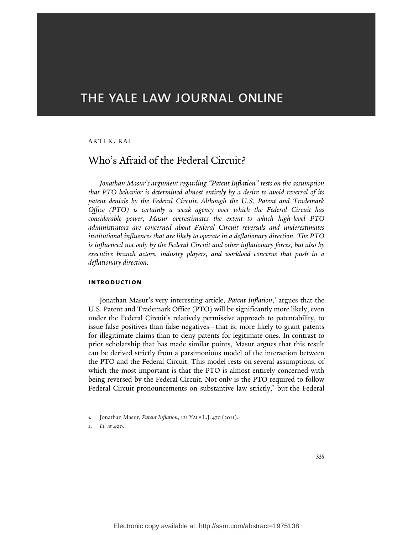# THE YALE LAW JOURNAL ONLINE

### ARTI K. RAI

# Who's Afraid of the Federal Circuit?

*Jonathan Masur's argument regarding "Patent Inflation" rests on the assumption that PTO behavior is determined almost entirely by a desire to avoid reversal of its patent denials by the Federal Circuit. Although the U.S. Patent and Trademark Office (PTO) is certainly a weak agency over which the Federal Circuit has considerable power, Masur overestimates the extent to which high-level PTO administrators are concerned about Federal Circuit reversals and underestimates institutional influences that are likely to operate in a deflationary direction. The PTO is influenced not only by the Federal Circuit and other inflationary forces, but also by executive branch actors, industry players, and workload concerns that push in a deflationary direction.*

#### **introduction**

Jonathan Masur's very interesting article, Patent Inflation,<sup>1</sup> argues that the U.S. Patent and Trademark Office (PTO) will be significantly more likely, even under the Federal Circuit's relatively permissive approach to patentability, to issue false positives than false negatives—that is, more likely to grant patents for illegitimate claims than to deny patents for legitimate ones. In contrast to prior scholarship that has made similar points, Masur argues that this result can be derived strictly from a parsimonious model of the interaction between the PTO and the Federal Circuit. This model rests on several assumptions, of which the most important is that the PTO is almost entirely concerned with being reversed by the Federal Circuit. Not only is the PTO required to follow Federal Circuit pronouncements on substantive law strictly,<sup>2</sup> but the Federal

**<sup>1.</sup>** Jonathan Masur, *Patent Inflation*, 121 YALE L.J. 470 (2011).

**<sup>2.</sup>** *Id.* at 490.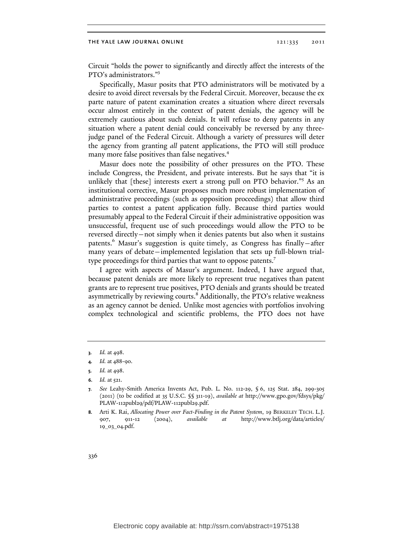Circuit "holds the power to significantly and directly affect the interests of the PTO's administrators." 3

Specifically, Masur posits that PTO administrators will be motivated by a desire to avoid direct reversals by the Federal Circuit. Moreover, because the ex parte nature of patent examination creates a situation where direct reversals occur almost entirely in the context of patent denials, the agency will be extremely cautious about such denials. It will refuse to deny patents in any situation where a patent denial could conceivably be reversed by any threejudge panel of the Federal Circuit. Although a variety of pressures will deter the agency from granting *all* patent applications, the PTO will still produce many more false positives than false negatives.<sup>4</sup>

Masur does note the possibility of other pressures on the PTO. These include Congress, the President, and private interests. But he says that "it is unlikely that [these] interests exert a strong pull on PTO behavior."<sup>5</sup> As an institutional corrective, Masur proposes much more robust implementation of administrative proceedings (such as opposition proceedings) that allow third parties to contest a patent application fully. Because third parties would presumably appeal to the Federal Circuit if their administrative opposition was unsuccessful, frequent use of such proceedings would allow the PTO to be reversed directly—not simply when it denies patents but also when it sustains patents.<sup>6</sup> Masur's suggestion is quite timely, as Congress has finally-after many years of debate—implemented legislation that sets up full-blown trialtype proceedings for third parties that want to oppose patents.<sup>7</sup>

I agree with aspects of Masur's argument. Indeed, I have argued that, because patent denials are more likely to represent true negatives than patent grants are to represent true positives, PTO denials and grants should be treated asymmetrically by reviewing courts.<sup>8</sup> Additionally, the PTO's relative weakness as an agency cannot be denied. Unlike most agencies with portfolios involving complex technological and scientific problems, the PTO does not have

**<sup>3.</sup>** *Id.* at 498.

**<sup>4.</sup>** *Id.* at 488-90.

**<sup>5.</sup>** *Id.* at 498.

**<sup>6.</sup>** *Id.* at 521.

**<sup>7.</sup>** *See* Leahy-Smith America Invents Act, Pub. L. No. 112-29, § 6, 125 Stat. 284, 299-305 (2011) (to be codified at 35 U.S.C. §§ 311-19), *available at* http://w[ww.gpo.go](www.gpo.go)v/fdsys/pkg/ PLAW-112publ29/pdf/PLAW-112publ29.pdf.

**<sup>8.</sup>** Arti K. Rai, *Allocating Power over Fact-Finding in the Patent System*, 19 BERKELEY TECH. L.J. 907, 911-12 (2004), *available at* http://w[ww.btlj.org/data/articles/](www.btlj.org/data/articles/) 19\_03\_04.pdf.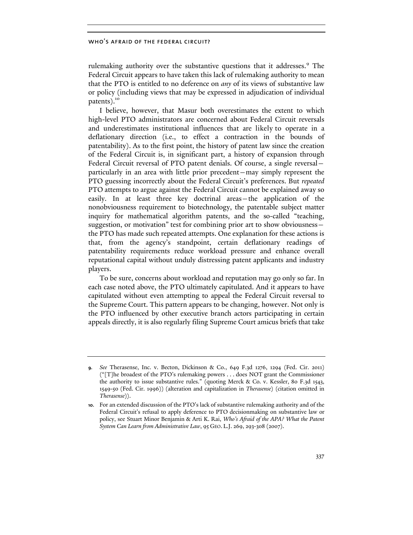rulemaking authority over the substantive questions that it addresses.<sup>9</sup> The Federal Circuit appears to have taken this lack of rulemaking authority to mean that the PTO is entitled to no deference on *any* of its views of substantive law or policy (including views that may be expressed in adjudication of individual patents).<sup>10</sup>

I believe, however, that Masur both overestimates the extent to which high-level PTO administrators are concerned about Federal Circuit reversals and underestimates institutional influences that are likely to operate in a deflationary direction (i.e., to effect a contraction in the bounds of patentability). As to the first point, the history of patent law since the creation of the Federal Circuit is, in significant part, a history of expansion through Federal Circuit reversal of PTO patent denials. Of course, a single reversal particularly in an area with little prior precedent—may simply represent the PTO guessing incorrectly about the Federal Circuit's preferences. But *repeated* PTO attempts to argue against the Federal Circuit cannot be explained away so easily. In at least three key doctrinal areas—the application of the nonobviousness requirement to biotechnology, the patentable subject matter inquiry for mathematical algorithm patents, and the so-called "teaching, suggestion, or motivation" test for combining prior art to show obviousness the PTO has made such repeated attempts. One explanation for these actions is that, from the agency's standpoint, certain deflationary readings of patentability requirements reduce workload pressure and enhance overall reputational capital without unduly distressing patent applicants and industry players.

To be sure, concerns about workload and reputation may go only so far. In each case noted above, the PTO ultimately capitulated. And it appears to have capitulated without even attempting to appeal the Federal Circuit reversal to the Supreme Court. This pattern appears to be changing, however. Not only is the PTO influenced by other executive branch actors participating in certain appeals directly, it is also regularly filing Supreme Court amicus briefs that take

**<sup>9.</sup>** *See* Therasense, Inc. v. Becton, Dickinson & Co., 649 F.3d 1276, 1294 (Fed. Cir. 2011) ("[T]he broadest of the PTO's rulemaking powers . . . does NOT grant the Commissioner the authority to issue substantive rules." (quoting Merck & Co. v. Kessler, 80 F.3d 1543, 1549-50 (Fed. Cir. 1996)) (alteration and capitalization in *Therasense*) (citation omitted in *Therasense*)).

**<sup>10.</sup>** For an extended discussion of the PTO's lack of substantive rulemaking authority and of the Federal Circuit's refusal to apply deference to PTO decisionmaking on substantive law or policy, see Stuart Minor Benjamin & Arti K. Rai, *Who's Afraid of the APA? What the Patent System Can Learn from Administrative Law*, 95 GEO. L.J. 269, 293-308 (2007).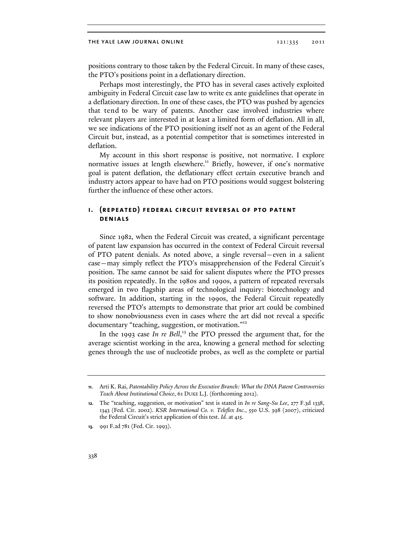positions contrary to those taken by the Federal Circuit. In many of these cases, the PTO's positions point in a deflationary direction.

Perhaps most interestingly, the PTO has in several cases actively exploited ambiguity in Federal Circuit case law to write ex ante guidelines that operate in a deflationary direction. In one of these cases, the PTO was pushed by agencies that tend to be wary of patents. Another case involved industries where relevant players are interested in at least a limited form of deflation. All in all, we see indications of the PTO positioning itself not as an agent of the Federal Circuit but, instead, as a potential competitor that is sometimes interested in deflation.

My account in this short response is positive, not normative. I explore normative issues at length elsewhere.<sup>11</sup> Briefly, however, if one's normative goal is patent deflation, the deflationary effect certain executive branch and industry actors appear to have had on PTO positions would suggest bolstering further the influence of these other actors.

# **i. (repeated) federal circuit reversal of pto patent denials**

Since 1982, when the Federal Circuit was created, a significant percentage of patent law expansion has occurred in the context of Federal Circuit reversal of PTO patent denials. As noted above, a single reversal—even in a salient case—may simply reflect the PTO's misapprehension of the Federal Circuit's position. The same cannot be said for salient disputes where the PTO presses its position repeatedly. In the 1980s and 1990s, a pattern of repeated reversals emerged in two flagship areas of technological inquiry: biotechnology and software. In addition, starting in the 1990s, the Federal Circuit repeatedly reversed the PTO's attempts to demonstrate that prior art could be combined to show nonobviousness even in cases where the art did not reveal a specific documentary "teaching, suggestion, or motivation."<sup>12</sup>

In the 1993 case *In re Bell*,<sup>13</sup> the PTO pressed the argument that, for the average scientist working in the area, knowing a general method for selecting genes through the use of nucleotide probes, as well as the complete or partial

**<sup>11.</sup>** Arti K. Rai, *Patentability Policy Across the Executive Branch: What the DNA Patent Controversies Teach About Institutional Choice*, 61 DUKE L.J. (forthcoming 2012).

**<sup>12.</sup>** The "teaching, suggestion, or motivation" test is stated in *In re Sang-Su Lee*, 277 F.3d 1338, 1343 (Fed. Cir. 2002). *KSR International Co. v. Teleflex Inc.*, 550 U.S. 398 (2007), criticized the Federal Circuit's strict application of this test. *Id.* at 415.

**<sup>13.</sup>** 991 F.2d 781 (Fed. Cir. 1993).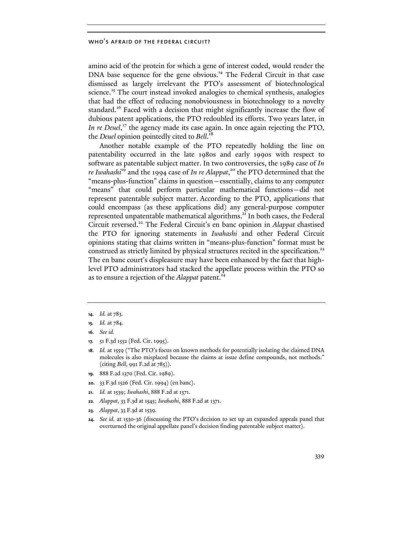amino acid of the protein for which a gene of interest coded, would render the DNA base sequence for the gene obvious.<sup>14</sup> The Federal Circuit in that case dismissed as largely irrelevant the PTO's assessment of biotechnological science.<sup>15</sup> The court instead invoked analogies to chemical synthesis, analogies that had the effect of reducing nonobviousness in biotechnology to a novelty standard.<sup>16</sup> Faced with a decision that might significantly increase the flow of dubious patent applications, the PTO redoubled its efforts. Two years later, in In re Deuel,<sup>17</sup> the agency made its case again. In once again rejecting the PTO, the *Deuel* opinion pointedly cited to *Bell*. 18

Another notable example of the PTO repeatedly holding the line on patentability occurred in the late 1980s and early 1990s with respect to software as patentable subject matter. In two controversies, the 1989 case of *In re Iwahashi*19 and the 1994 case of *In re Alappat*, <sup>20</sup> the PTO determined that the "means-plus-function" claims in question—essentially, claims to any computer "means" that could perform particular mathematical functions—did not represent patentable subject matter. According to the PTO, applications that could encompass (as these applications did) any general-purpose computer represented unpatentable mathematical algorithms.<sup>21</sup> In both cases, the Federal Circuit reversed.22 The Federal Circuit's en banc opinion in *Alappat* chastised the PTO for ignoring statements in *Iwahashi* and other Federal Circuit opinions stating that claims written in "means-plus-function" format must be construed as strictly limited by physical structures recited in the specification.<sup>23</sup> The en banc court's displeasure may have been enhanced by the fact that highlevel PTO administrators had stacked the appellate process within the PTO so as to ensure a rejection of the *Alappat* patent.<sup>24</sup>

- **16.** *See id.*
- **17.** 51 F.3d 1552 (Fed. Cir. 1995).
- **18.** *Id.* at 1559 ("The PTO's focus on known methods for potentially isolating the claimed DNA molecules is also misplaced because the claims at issue define compounds, not methods." (citing *Bell*, 991 F.2d at 785)).
- **19.** 888 F.2d 1370 (Fed. Cir. 1989).
- **20.** 33 F.3d 1526 (Fed. Cir. 1994) (en banc).
- **21.** *Id.* at 1539; *Iwahashi*, 888 F.2d at 1371.
- **22.** *Alappat*, 33 F.3d at 1545; *Iwahashi*, 888 F.2d at 1371.
- **23.** *Alappat*, 33 F.3d at 1539.
- **24.** *See id.* at 1530-36 (discussing the PTO's decision to set up an expanded appeals panel that overturned the original appellate panel's decision finding patentable subject matter).

**<sup>14.</sup>** *Id.* at 783.

**<sup>15.</sup>** *Id.* at 784.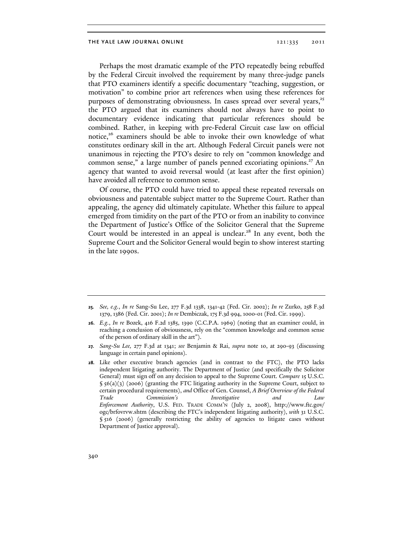Perhaps the most dramatic example of the PTO repeatedly being rebuffed by the Federal Circuit involved the requirement by many three-judge panels that PTO examiners identify a specific documentary "teaching, suggestion, or motivation" to combine prior art references when using these references for purposes of demonstrating obviousness. In cases spread over several years,<sup>25</sup> the PTO argued that its examiners should not always have to point to documentary evidence indicating that particular references should be combined. Rather, in keeping with pre-Federal Circuit case law on official notice,<sup>26</sup> examiners should be able to invoke their own knowledge of what constitutes ordinary skill in the art. Although Federal Circuit panels were not unanimous in rejecting the PTO's desire to rely on "common knowledge and common sense," a large number of panels penned excoriating opinions.<sup>27</sup> An agency that wanted to avoid reversal would (at least after the first opinion) have avoided all reference to common sense.

Of course, the PTO could have tried to appeal these repeated reversals on obviousness and patentable subject matter to the Supreme Court. Rather than appealing, the agency did ultimately capitulate. Whether this failure to appeal emerged from timidity on the part of the PTO or from an inability to convince the Department of Justice's Office of the Solicitor General that the Supreme Court would be interested in an appeal is unclear.<sup>28</sup> In any event, both the Supreme Court and the Solicitor General would begin to show interest starting in the late 1990s.

**<sup>25.</sup>** *See, e.g.*, *In re* Sang-Su Lee, 277 F.3d 1338, 1341-42 (Fed. Cir. 2002); *In re* Zurko, 258 F.3d 1379, 1386 (Fed. Cir. 2001); *In re* Dembiczak, 175 F.3d 994, 1000-01 (Fed. Cir. 1999).

**<sup>26.</sup>** *E.g.*, *In re* Bozek, 416 F.2d 1385, 1390 (C.C.P.A. 1969) (noting that an examiner could, in reaching a conclusion of obviousness, rely on the "common knowledge and common sense of the person of ordinary skill in the art").

**<sup>27.</sup>** *Sang-Su Lee,* 277 F.3d at 1341; *see* Benjamin & Rai, *supra* note 10, at 290-93 (discussing language in certain panel opinions).

**<sup>28.</sup>** Like other executive branch agencies (and in contrast to the FTC), the PTO lacks independent litigating authority. The Department of Justice (and specifically the Solicitor General) must sign off on any decision to appeal to the Supreme Court. *Compare* 15 U.S.C. § 56(a)(3) (2006) (granting the FTC litigating authority in the Supreme Court, subject to certain procedural requirements), *and* Office of Gen. Counsel, *A Brief Overview of the Federal Trade Commission's Investigative and Law Enforcement Authority*, U.S. FED. TRADE COMM'N (July 2, 2008), h[ttp://w](http://www.ftc.go)[ww.ftc.gov](www.ftc.go)/ ogc/brfovrvw.shtm (describing the FTC's independent litigating authority), *with* 31 U.S.C. § 516 (2006) (generally restricting the ability of agencies to litigate cases without Department of Justice approval).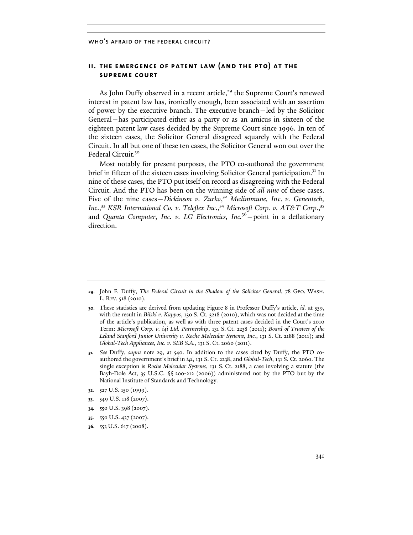# **ii. the emergence of patent law (and the pto) at the supreme court**

As John Duffy observed in a recent article,<sup>29</sup> the Supreme Court's renewed interest in patent law has, ironically enough, been associated with an assertion of power by the executive branch. The executive branch—led by the Solicitor General—has participated either as a party or as an amicus in sixteen of the eighteen patent law cases decided by the Supreme Court since 1996. In ten of the sixteen cases, the Solicitor General disagreed squarely with the Federal Circuit. In all but one of these ten cases, the Solicitor General won out over the Federal Circuit.<sup>30</sup>

Most notably for present purposes, the PTO co-authored the government brief in fifteen of the sixteen cases involving Solicitor General participation.<sup>31</sup> In nine of these cases, the PTO put itself on record as disagreeing with the Federal Circuit. And the PTO has been on the winning side of *all nine* of these cases. Five of the nine cases – Dickinson v. Zurko,<sup>32</sup> Medimmune, Inc. v. Genentech, *Inc*., <sup>33</sup> *KSR International Co. v. Teleflex Inc*., <sup>34</sup> *Microsoft Corp. v. AT&T Corp*., 35 and *Quanta Computer, Inc. v. LG Electronics, Inc.*36—point in a deflationary direction.

- **32.** 527 U.S. 150 (1999).
- **33.** 549 U.S. 118 (2007).
- **34.** 550 U.S. 398 (2007).
- **35.** 550 U.S. 437 (2007).
- **36.** 553 U.S. 617 (2008).

**<sup>29.</sup>** John F. Duffy, *The Federal Circuit in the Shadow of the Solicitor General*, 78 GEO. WASH. L. REV. 518 (2010).

**<sup>30.</sup>** These statistics are derived from updating Figure 8 in Professor Duffy's article, *id.* at 539, with the result in *Bilski v. Kappos*, 130 S. Ct. 3218 (2010), which was not decided at the time of the article's publication, as well as with three patent cases decided in the Court's 2010 Term: *Microsoft Corp. v. i4i Ltd. Partnership*, 131 S. Ct. 2238 (2011); *Board of Trustees of the Leland Stanford Junior University v. Roche Molecular Systems, Inc.*, 131 S. Ct. 2188 (2011); and *Global-Tech Appliances, Inc. v. SEB S.A.*, 131 S. Ct. 2060 (2011).

**<sup>31.</sup>** *See* Duffy, *supra* note 29, at 540. In addition to the cases cited by Duffy, the PTO coauthored the government's brief in *i4i*, 131 S. Ct. 2238, and *Global-Tech*, 131 S. Ct. 2060. The single exception is *Roche Molecular Systems*, 131 S. Ct. 2188, a case involving a statute (the Bayh-Dole Act, 35 U.S.C. §§ 200-212 (2006)) administered not by the PTO but by the National Institute of Standards and Technology.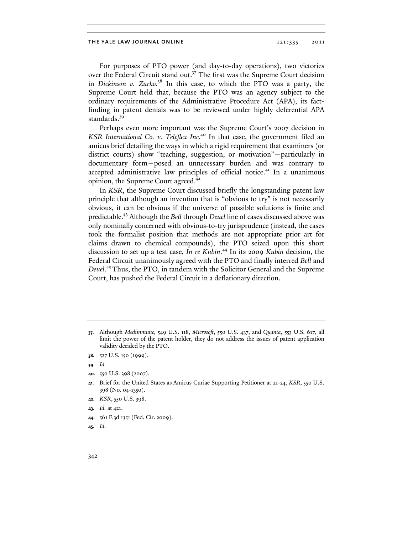For purposes of PTO power (and day-to-day operations), two victories over the Federal Circuit stand out.<sup>37</sup> The first was the Supreme Court decision in *Dickinson v. Zurko*. <sup>38</sup> In this case, to which the PTO was a party, the Supreme Court held that, because the PTO was an agency subject to the ordinary requirements of the Administrative Procedure Act (APA), its factfinding in patent denials was to be reviewed under highly deferential APA standards.<sup>39</sup>

Perhaps even more important was the Supreme Court's 2007 decision in *KSR International Co. v. Teleflex Inc.*40 In that case, the government filed an amicus brief detailing the ways in which a rigid requirement that examiners (or district courts) show "teaching, suggestion, or motivation"—particularly in documentary form—posed an unnecessary burden and was contrary to accepted administrative law principles of official notice.<sup>41</sup> In a unanimous opinion, the Supreme Court agreed.<sup>42</sup>

In *KSR*, the Supreme Court discussed briefly the longstanding patent law principle that although an invention that is "obvious to try" is not necessarily obvious, it can be obvious if the universe of possible solutions is finite and predictable.43 Although the *Bell* through *Deuel* line of cases discussed above was only nominally concerned with obvious-to-try jurisprudence (instead, the cases took the formalist position that methods are not appropriate prior art for claims drawn to chemical compounds), the PTO seized upon this short discussion to set up a test case, *In re Kubin*. <sup>44</sup> In its 2009 *Kubin* decision, the Federal Circuit unanimously agreed with the PTO and finally interred *Bell* and *Deuel*. <sup>45</sup> Thus, the PTO, in tandem with the Solicitor General and the Supreme Court, has pushed the Federal Circuit in a deflationary direction.

- **42.** *KSR*, 550 U.S. 398.
- **43.** *Id.* at 421.
- **44.** 561 F.3d 1351 (Fed. Cir. 2009).

**<sup>37.</sup>** Although *Medimmune*, 549 U.S. 118, *Microsoft*, 550 U.S. 437, and *Quanta*, 553 U.S. 617, all limit the power of the patent holder, they do not address the issues of patent application validity decided by the PTO.

**<sup>38.</sup>** 527 U.S. 150 (1999).

**<sup>39.</sup>** *Id.*

**<sup>40.</sup>** 550 U.S. 398 (2007).

**<sup>41.</sup>** Brief for the United States as Amicus Curiae Supporting Petitioner at 21-24, *KSR*, 550 U.S. 398 (No. 04-1350).

**<sup>45.</sup>** *Id.*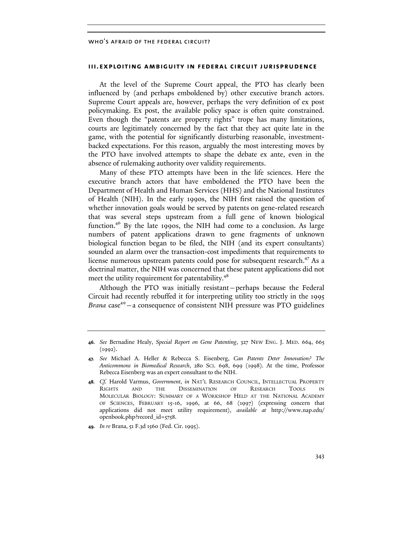#### **iii. exploiting ambiguity in federal circuit jurisprudence**

At the level of the Supreme Court appeal, the PTO has clearly been influenced by (and perhaps emboldened by) other executive branch actors. Supreme Court appeals are, however, perhaps the very definition of ex post policymaking. Ex post, the available policy space is often quite constrained. Even though the "patents are property rights" trope has many limitations, courts are legitimately concerned by the fact that they act quite late in the game, with the potential for significantly disturbing reasonable, investmentbacked expectations. For this reason, arguably the most interesting moves by the PTO have involved attempts to shape the debate ex ante, even in the absence of rulemaking authority over validity requirements.

Many of these PTO attempts have been in the life sciences. Here the executive branch actors that have emboldened the PTO have been the Department of Health and Human Services (HHS) and the National Institutes of Health (NIH). In the early 1990s, the NIH first raised the question of whether innovation goals would be served by patents on gene-related research that was several steps upstream from a full gene of known biological function.<sup>46</sup> By the late 1990s, the NIH had come to a conclusion. As large numbers of patent applications drawn to gene fragments of unknown biological function began to be filed, the NIH (and its expert consultants) sounded an alarm over the transaction-cost impediments that requirements to license numerous upstream patents could pose for subsequent research.<sup>47</sup> As a doctrinal matter, the NIH was concerned that these patent applications did not meet the utility requirement for patentability.<sup>48</sup>

Although the PTO was initially resistant—perhaps because the Federal Circuit had recently rebuffed it for interpreting utility too strictly in the 1995 Brana case<sup>49</sup> – a consequence of consistent NIH pressure was PTO guidelines

**<sup>46.</sup>** *See* Bernadine Healy, *Special Report on Gene Patenting*, 327 NEW ENG. J. MED. 664, 665 (1992).

**<sup>47.</sup>** *See* Michael A. Heller & Rebecca S. Eisenberg, *Can Patents Deter Innovation? The Anticommons in Biomedical Research*, 280 SCI. 698, 699 (1998). At the time, Professor Rebecca Eisenberg was an expert consultant to the NIH.

**<sup>48.</sup>** *Cf.* Harold Varmus, *Government*, *in* NAT'L RESEARCH COUNCIL, INTELLECTUAL PROPERTY RIGHTS AND THE DISSEMINATION OF RESEARCH TOOLS IN MOLECULAR BIOLOGY: SUMMARY OF A WORKSHOP HELD AT THE NATIONAL ACADEMY OF SCIENCES, FEBRUARY 15-16, 1996, at 66, 68 (1997) (expressing concern that applications did not meet utility requirement), *available at* http://[www.n](www.)ap.edu/ openbook.php?record\_id=5758.

**<sup>49.</sup>** *In re* Brana, 51 F.3d 1560 (Fed. Cir. 1995).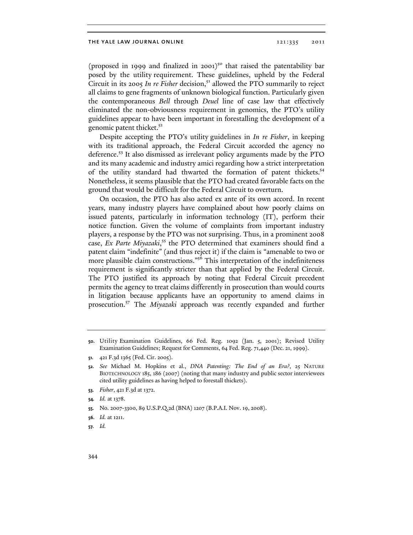(proposed in 1999 and finalized in 2001)<sup>50</sup> that raised the patentability bar posed by the utility requirement. These guidelines, upheld by the Federal Circuit in its 2005 In re Fisher decision,<sup>51</sup> allowed the PTO summarily to reject all claims to gene fragments of unknown biological function. Particularly given the contemporaneous *Bell* through *Deuel* line of case law that effectively eliminated the non-obviousness requirement in genomics, the PTO's utility guidelines appear to have been important in forestalling the development of a genomic patent thicket.<sup>52</sup>

Despite accepting the PTO's utility guidelines in *In re Fisher*, in keeping with its traditional approach, the Federal Circuit accorded the agency no deference.<sup>53</sup> It also dismissed as irrelevant policy arguments made by the PTO and its many academic and industry amici regarding how a strict interpretation of the utility standard had thwarted the formation of patent thickets.<sup>54</sup> Nonetheless, it seems plausible that the PTO had created favorable facts on the ground that would be difficult for the Federal Circuit to overturn.

On occasion, the PTO has also acted ex ante of its own accord. In recent years, many industry players have complained about how poorly claims on issued patents, particularly in information technology (IT), perform their notice function. Given the volume of complaints from important industry players, a response by the PTO was not surprising. Thus, in a prominent 2008 case, *Ex Parte Miyazaki*, <sup>55</sup> the PTO determined that examiners should find a patent claim "indefinite" (and thus reject it) if the claim is "amenable to two or more plausible claim constructions."<sup>56</sup> This interpretation of the indefiniteness requirement is significantly stricter than that applied by the Federal Circuit. The PTO justified its approach by noting that Federal Circuit precedent permits the agency to treat claims differently in prosecution than would courts in litigation because applicants have an opportunity to amend claims in prosecution.57 The *Miyazaki* approach was recently expanded and further

**54.** *Id.* at 1378.

**<sup>50.</sup>** Utility Examination Guidelines, 66 Fed. Reg. 1092 (Jan. 5, 2001); Revised Utility Examination Guidelines; Request for Comments, 64 Fed. Reg. 71,440 (Dec. 21, 1999).

**<sup>51.</sup>** 421 F.3d 1365 (Fed. Cir. 2005).

**<sup>52.</sup>** *See* Michael M. Hopkins et al., *DNA Patenting: The End of an Era?*, 25 NATURE BIOTECHNOLOGY 185, 186 (2007) (noting that many industry and public sector interviewees cited utility guidelines as having helped to forestall thickets).

**<sup>53.</sup>** *Fisher*, 421 F.3d at 1372.

**<sup>55.</sup>** No. 2007-3300, 89 U.S.P.Q.2d (BNA) 1207 (B.P.A.I. Nov. 19, 2008).

**<sup>56.</sup>** *Id.* at 1211.

**<sup>57.</sup>** *Id.*